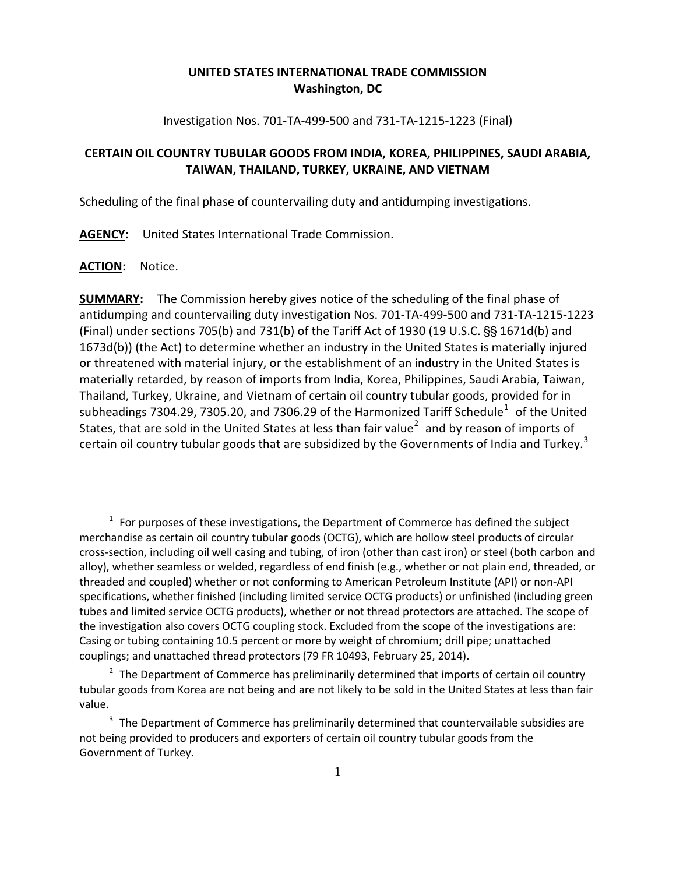## **UNITED STATES INTERNATIONAL TRADE COMMISSION Washington, DC**

Investigation Nos. 701-TA-499-500 and 731-TA-1215-1223 (Final)

# **CERTAIN OIL COUNTRY TUBULAR GOODS FROM INDIA, KOREA, PHILIPPINES, SAUDI ARABIA, TAIWAN, THAILAND, TURKEY, UKRAINE, AND VIETNAM**

Scheduling of the final phase of countervailing duty and antidumping investigations.

**AGENCY:** United States International Trade Commission.

### **ACTION:** Notice.

 $\overline{a}$ 

**SUMMARY:** The Commission hereby gives notice of the scheduling of the final phase of antidumping and countervailing duty investigation Nos. 701-TA-499-500 and 731-TA-1215-1223 (Final) under sections 705(b) and 731(b) of the Tariff Act of 1930 (19 U.S.C.  $\S$ § 1671d(b) and 1673d(b)) (the Act) to determine whether an industry in the United States is materially injured or threatened with material injury, or the establishment of an industry in the United States is materially retarded, by reason of imports from India, Korea, Philippines, Saudi Arabia, Taiwan, Thailand, Turkey, Ukraine, and Vietnam of certain oil country tubular goods, provided for in subheadings 7304.29, 7305.20, and 7306.29 of the Harmonized Tariff Schedule<sup>[1](#page-0-0)</sup> of the United States, that are sold in the United States at less than fair value<sup>[2](#page-0-1)</sup> and by reason of imports of certain oil country tubular goods that are subsidized by the Governments of India and Turkey.<sup>[3](#page-0-2)</sup>

<span id="page-0-0"></span> $1$  For purposes of these investigations, the Department of Commerce has defined the subject merchandise as certain oil country tubular goods (OCTG), which are hollow steel products of circular cross-section, including oil well casing and tubing, of iron (other than cast iron) or steel (both carbon and alloy), whether seamless or welded, regardless of end finish (e.g., whether or not plain end, threaded, or threaded and coupled) whether or not conforming to American Petroleum Institute (API) or non-API specifications, whether finished (including limited service OCTG products) or unfinished (including green tubes and limited service OCTG products), whether or not thread protectors are attached. The scope of the investigation also covers OCTG coupling stock. Excluded from the scope of the investigations are: Casing or tubing containing 10.5 percent or more by weight of chromium; drill pipe; unattached couplings; and unattached thread protectors (79 FR 10493, February 25, 2014).

<span id="page-0-1"></span> $2\text{ }$  The Department of Commerce has preliminarily determined that imports of certain oil country tubular goods from Korea are not being and are not likely to be sold in the United States at less than fair value.

<span id="page-0-2"></span> $3$  The Department of Commerce has preliminarily determined that countervailable subsidies are not being provided to producers and exporters of certain oil country tubular goods from the Government of Turkey.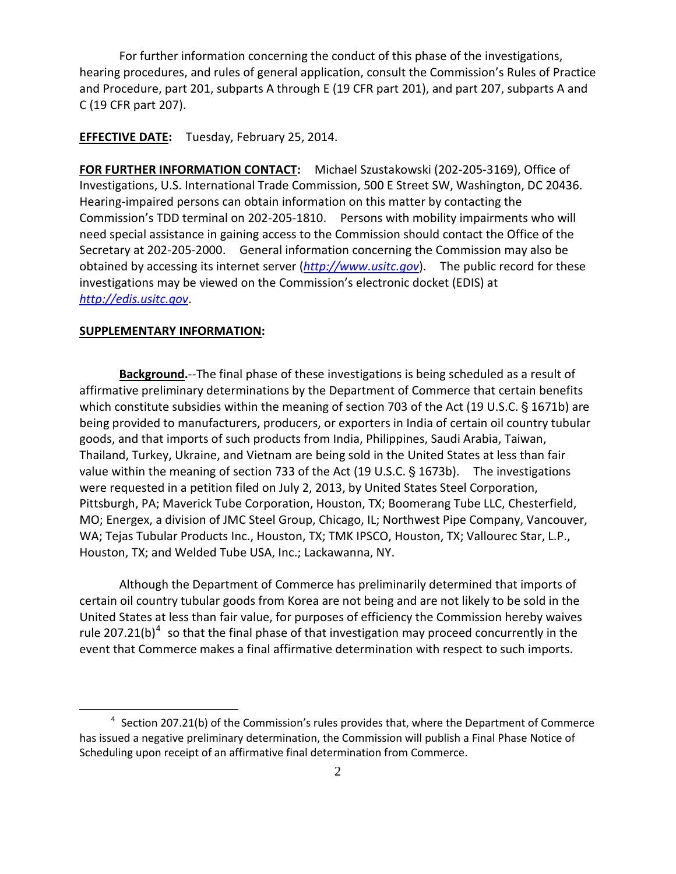For further information concerning the conduct of this phase of the investigations, hearing procedures, and rules of general application, consult the Commission's Rules of Practice and Procedure, part 201, subparts A through E (19 CFR part 201), and part 207, subparts A and C (19 CFR part 207).

#### **EFFECTIVE DATE:** Tuesday, February 25, 2014.

**FOR FURTHER INFORMATION CONTACT:** Michael Szustakowski (202-205-3169), Office of Investigations, U.S. International Trade Commission, 500 E Street SW, Washington, DC 20436. Hearing-impaired persons can obtain information on this matter by contacting the Commission's TDD terminal on 202-205-1810. Persons with mobility impairments who will need special assistance in gaining access to the Commission should contact the Office of the Secretary at 202-205-2000. General information concerning the Commission may also be obtained by accessing its internet server (*[http://www.usitc.gov](http://www.usitc.gov/)*). The public record for these investigations may be viewed on the Commission's electronic docket (EDIS) at *[http://edis.usitc.gov](http://edis.usitc.gov/)*.

#### **SUPPLEMENTARY INFORMATION:**

 $\overline{a}$ 

**Background.**--The final phase of these investigations is being scheduled as a result of affirmative preliminary determinations by the Department of Commerce that certain benefits which constitute subsidies within the meaning of section 703 of the Act (19 U.S.C.  $\S$  1671b) are being provided to manufacturers, producers, or exporters in India of certain oil country tubular goods, and that imports of such products from India, Philippines, Saudi Arabia, Taiwan, Thailand, Turkey, Ukraine, and Vietnam are being sold in the United States at less than fair value within the meaning of section 733 of the Act (19 U.S.C.  $\S$  1673b). The investigations were requested in a petition filed on July 2, 2013, by United States Steel Corporation, Pittsburgh, PA; Maverick Tube Corporation, Houston, TX; Boomerang Tube LLC, Chesterfield, MO; Energex, a division of JMC Steel Group, Chicago, IL; Northwest Pipe Company, Vancouver, WA; Tejas Tubular Products Inc., Houston, TX; TMK IPSCO, Houston, TX; Vallourec Star, L.P., Houston, TX; and Welded Tube USA, Inc.; Lackawanna, NY.

Although the Department of Commerce has preliminarily determined that imports of certain oil country tubular goods from Korea are not being and are not likely to be sold in the United States at less than fair value, for purposes of efficiency the Commission hereby waives rule 207.21(b)<sup>[4](#page-1-0)</sup> so that the final phase of that investigation may proceed concurrently in the event that Commerce makes a final affirmative determination with respect to such imports.

<span id="page-1-0"></span> $4$  Section 207.21(b) of the Commission's rules provides that, where the Department of Commerce has issued a negative preliminary determination, the Commission will publish a Final Phase Notice of Scheduling upon receipt of an affirmative final determination from Commerce.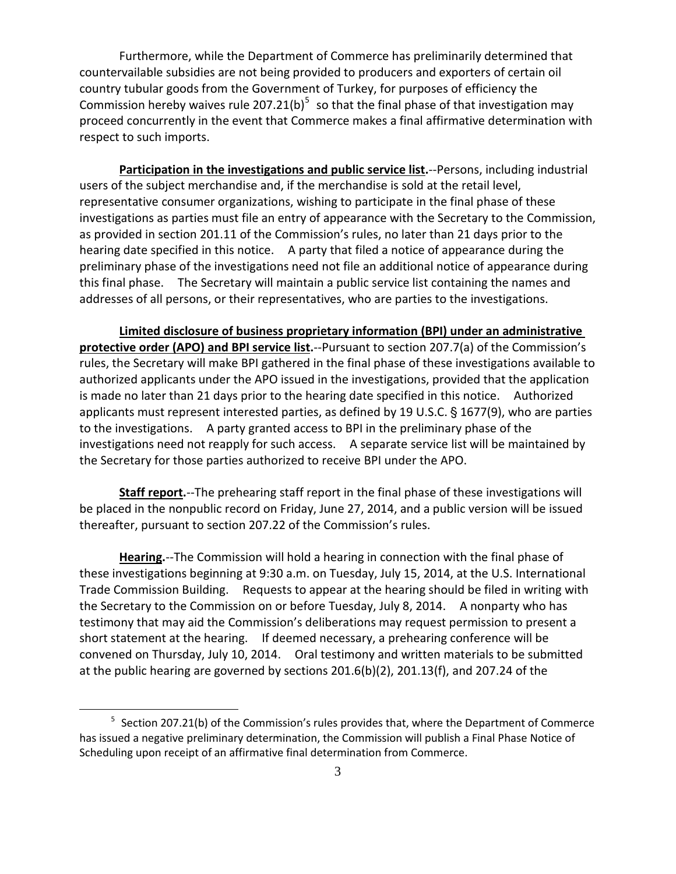Furthermore, while the Department of Commerce has preliminarily determined that countervailable subsidies are not being provided to producers and exporters of certain oil country tubular goods from the Government of Turkey, for purposes of efficiency the Commission hereby waives rule 207.21(b)<sup>[5](#page-2-0)</sup> so that the final phase of that investigation may proceed concurrently in the event that Commerce makes a final affirmative determination with respect to such imports.

**Participation in the investigations and public service list.**--Persons, including industrial users of the subject merchandise and, if the merchandise is sold at the retail level, representative consumer organizations, wishing to participate in the final phase of these investigations as parties must file an entry of appearance with the Secretary to the Commission, as provided in section 201.11 of the Commission's rules, no later than 21 days prior to the hearing date specified in this notice. A party that filed a notice of appearance during the preliminary phase of the investigations need not file an additional notice of appearance during this final phase. The Secretary will maintain a public service list containing the names and addresses of all persons, or their representatives, who are parties to the investigations.

**Limited disclosure of business proprietary information (BPI) under an administrative protective order (APO) and BPI service list.**--Pursuant to section 207.7(a) of the Commission's rules, the Secretary will make BPI gathered in the final phase of these investigations available to authorized applicants under the APO issued in the investigations, provided that the application is made no later than 21 days prior to the hearing date specified in this notice. Authorized applicants must represent interested parties, as defined by 19 U.S.C. § 1677(9), who are parties to the investigations. A party granted access to BPI in the preliminary phase of the investigations need not reapply for such access. A separate service list will be maintained by the Secretary for those parties authorized to receive BPI under the APO.

**Staff report.**--The prehearing staff report in the final phase of these investigations will be placed in the nonpublic record on Friday, June 27, 2014, and a public version will be issued thereafter, pursuant to section 207.22 of the Commission's rules.

**Hearing.**--The Commission will hold a hearing in connection with the final phase of these investigations beginning at 9:30 a.m. on Tuesday, July 15, 2014, at the U.S. International Trade Commission Building. Requests to appear at the hearing should be filed in writing with the Secretary to the Commission on or before Tuesday, July 8, 2014. A nonparty who has testimony that may aid the Commission's deliberations may request permission to present a short statement at the hearing. If deemed necessary, a prehearing conference will be convened on Thursday, July 10, 2014. Oral testimony and written materials to be submitted at the public hearing are governed by sections 201.6(b)(2), 201.13(f), and 207.24 of the

 $\overline{a}$ 

<span id="page-2-0"></span> $5$  Section 207.21(b) of the Commission's rules provides that, where the Department of Commerce has issued a negative preliminary determination, the Commission will publish a Final Phase Notice of Scheduling upon receipt of an affirmative final determination from Commerce.